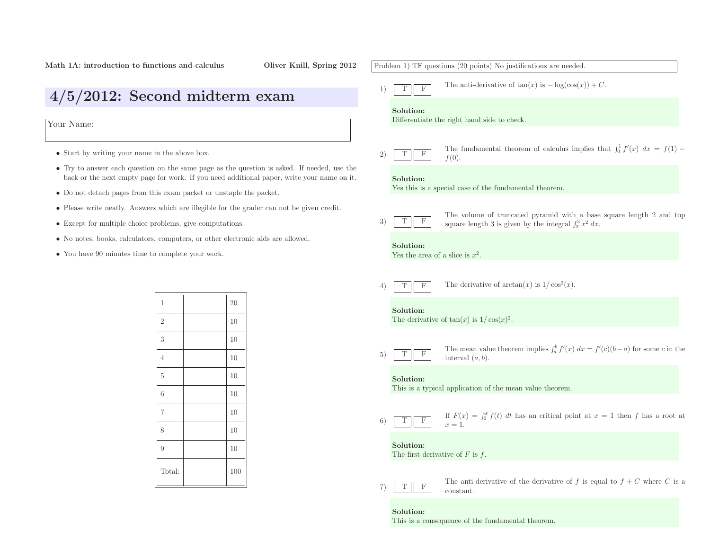# Problem 1) TF questions (20 points) No justifications are needed. 1)TFThe anti-derivative of  $tan(x)$  is  $-log(cos(x)) + C$ . Solution: Differentiate the right hand side to check. 2)TFThe fundamental theorem of calculus implies that  $\int_0^1 f'(x) dx = f(1) - f(0)$ .  $f(0)$ . Solution: Yes this is <sup>a</sup> special case of the fundamental theorem. 3)TFThe volume of truncated pyramid with a base square length 2 and top  $\int_2^3 x^2 dx$ . Solution:Yes the area of a slice is  $x^2$ . 4)TFF The derivative of  $arctan(x)$  is  $1/\cos^2(x)$ . Solution:The derivative of  $tan(x)$  is  $1/cos(x)^2$ . 5)TFThe mean value theorem implies  $\int_a^b f'(x) dx = f'(c)(b-a)$  for some c in the interval  $(a, b)$ . interval  $(a, b)$ . Solution: This is <sup>a</sup> typical application of the mean value theorem. 6)TF $\overline{F}$  If  $F(x) = \int_0^x f(t) dt$  has an critical point at  $x = 1$  then f has a root at  $x = 1$ .  $x=1$ . Solution:The first derivative of  $F$  is  $f$ . 7)TFThe anti-derivative of the derivative of f is equal to  $f + C$  where C is a constant. constant.

## Solution:

This is <sup>a</sup> consequence of the fundamental theorem.

• Start by writing your name in the above box.

Your Name:

- Try to answer each question on the same page as the question is asked. If needed, use the back or the next empty page for work. If you need additional paper, write your name on it.
- Do not detach pages from this exam packet or unstaple the packet.

4/5/2012: Second midterm exam

- Please write neatly. Answers which are illegible for the grader can not be <sup>g</sup>iven credit.
- Except for multiple choice problems, <sup>g</sup>ive computations.
- No notes, books, calculators, computers, or other electronic aids are allowed.
- You have <sup>90</sup> minutes time to complete your work.

| $\mathbf 1$    | 20  |
|----------------|-----|
| $\overline{2}$ | 10  |
| 3              | 10  |
| $\overline{4}$ | 10  |
| $\overline{5}$ | 10  |
| 6              | 10  |
| $\overline{7}$ | 10  |
| 8              | 10  |
| $\overline{9}$ | 10  |
| Total:         | 100 |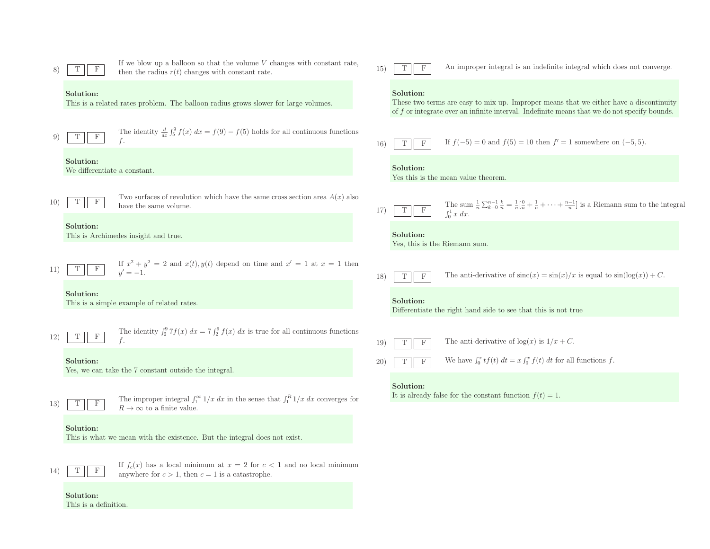|                 | F                                         | If we blow up a balloon so that the volume $V$ changes with constant rate,<br>then the radius $r(t)$ changes with constant rate.            | $15^{\circ}$ | $_{\rm F}$                     | An improper integral is an indefinite integral which does not converge.                                                                                                                |
|-----------------|-------------------------------------------|---------------------------------------------------------------------------------------------------------------------------------------------|--------------|--------------------------------|----------------------------------------------------------------------------------------------------------------------------------------------------------------------------------------|
|                 | Solution:                                 | This is a related rates problem. The balloon radius grows slower for large volumes.                                                         |              | Solution:                      | These two terms are easy to mix up. Improper means that we either have a discontinuity<br>of f or integrate over an infinite interval. Indefinite means that we do not specify bounds. |
|                 | $_{\rm F}$<br>Т                           | The identity $\frac{d}{dx} \int_5^9 f(x) dx = f(9) - f(5)$ holds for all continuous functions                                               | <b>16</b> )  | $\mathbf F$<br>T               | If $f(-5) = 0$ and $f(5) = 10$ then $f' = 1$ somewhere on $(-5, 5)$ .                                                                                                                  |
|                 | Solution:<br>We differentiate a constant. |                                                                                                                                             |              | Solution:                      | Yes this is the mean value theorem                                                                                                                                                     |
| 10 <sup>°</sup> | $_{\rm F}$<br>Т                           | Two surfaces of revolution which have the same cross section area $A(x)$ also<br>have the same volume.                                      | 17)          | $\boldsymbol{\mathrm{F}}$<br>T | The sum $\frac{1}{n}\sum_{k=0}^{n-1}\frac{k}{n} = \frac{1}{n}[\frac{0}{n} + \frac{1}{n} + \cdots + \frac{n-1}{n}]$ is a Riemann sum to the integral $\int_0^1 x \, dx$ .               |
|                 | Solution:                                 | This is Archimedes insight and true.                                                                                                        |              | Solution:                      | Yes, this is the Riemann sum.                                                                                                                                                          |
| 11              | $\mathbf{F}$<br>Т                         | If $x^2 + y^2 = 2$ and $x(t)$ , $y(t)$ depend on time and $x' = 1$ at $x = 1$ then<br>$u' = -1.$                                            | 18)          | $\mathbf F$<br>T               | The anti-derivative of $\operatorname{sinc}(x) = \sin(x)/x$ is equal to $\sin(\log(x)) + C$ .                                                                                          |
|                 | Solution:                                 | This is a simple example of related rates.                                                                                                  |              | Solution:                      | Differentiate the right hand side to see that this is not true                                                                                                                         |
| 12)             | $_{\rm F}$<br>Т                           | The identity $\int_2^9 7f(x) dx = 7 \int_2^9 f(x) dx$ is true for all continuous functions                                                  | 19)          | $\mathbf F$                    | The anti-derivative of $log(x)$ is $1/x + C$ .                                                                                                                                         |
|                 | Solution:                                 | Yes, we can take the 7 constant outside the integral.                                                                                       | 20)          | $\mathbf F$                    | We have $\int_0^x tf(t) dt = x \int_0^x f(t) dt$ for all functions f.                                                                                                                  |
| 13)             | $\mathbf{F}$<br>Т                         | The improper integral $\int_1^{\infty} 1/x \, dx$ in the sense that $\int_1^R 1/x \, dx$ converges for<br>$R \to \infty$ to a finite value. |              | Solution:                      | It is already false for the constant function $f(t) = 1$ .                                                                                                                             |
|                 | Solution:                                 | This is what we mean with the existence. But the integral does not exist.                                                                   |              |                                |                                                                                                                                                                                        |
| 14              | F                                         | If $f_c(x)$ has a local minimum at $x = 2$ for $c < 1$ and no local minimum<br>anywhere for $c > 1$ , then $c = 1$ is a catastrophe.        |              |                                |                                                                                                                                                                                        |

Solution:This is <sup>a</sup> definition.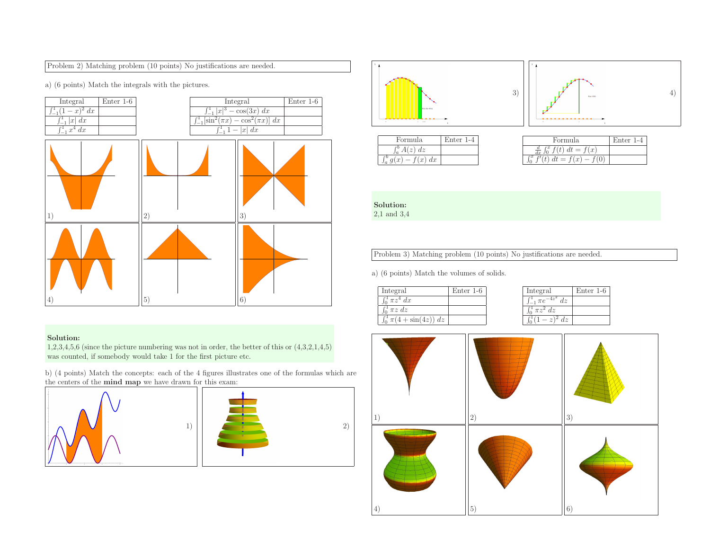# Problem 2) Matching problem (10 points) No justifications are needed.

a) (6 points) Match the integrals with the <sup>p</sup>ictures.



# Solution:

 1,2,3,4,5,6 (since the <sup>p</sup>icture numbering was not in order, the better of this or (4,3,2,1,4,5) was counted, if somebody would take <sup>1</sup> for the first <sup>p</sup>icture etc.

b) (4 points) Match the concepts: each of the <sup>4</sup> figures illustrates one of the formulas which are the centers of the **mind map** we have drawn for this exam:







| Formula                   | $Enter 1-4$ |
|---------------------------|-------------|
| $\int_{a}^{b} A(z) dz$    |             |
| $\int_a^b g(x) - f(x) dx$ |             |

| Formula.                               | Enter 1-4 |
|----------------------------------------|-----------|
| $\frac{d}{dx} \int_0^x f(t) dt = f(x)$ |           |
| сx<br>(t) $dt = f(x) - f(0)$           |           |
|                                        |           |

Solution:2,1 and 3,4

Problem 3) Matching problem (10 points) No justifications are needed.

a) (6 points) Match the volumes of solids.

| Integral                        | Enter 1-6 |
|---------------------------------|-----------|
| $\pi z^4 dx$                    |           |
| $\int_0^1 \pi z \, dz$          |           |
| $\int_0^1 \pi(4 + \sin(4z)) dz$ |           |

| Integral       | Enter 1-6 |
|----------------|-----------|
| $\pi e$<br>dz. |           |
| $\pi z^2 dz$   |           |
| $l_{z}$        |           |

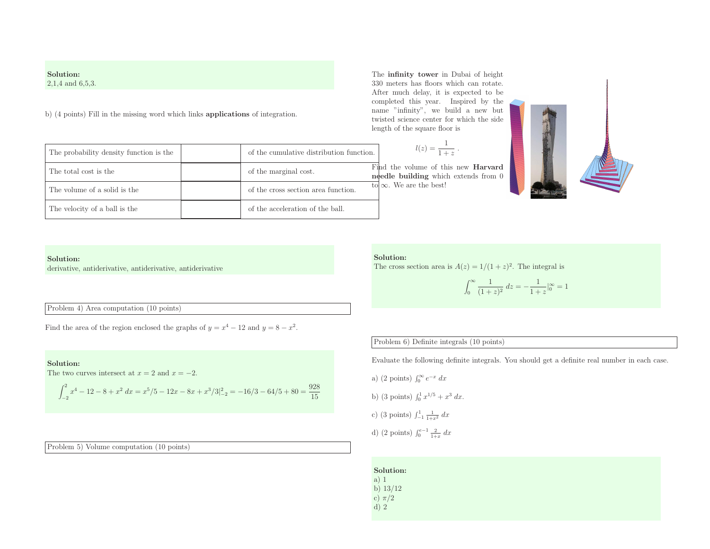# Solution:2,1,4 and 6,5,3.

b) (4 points) Fill in the missing word which links applications of integration.

The total cost is the **of the marginal cost**.

The probability density function is the of the cumulative distribution function.

The volume of a solid is the of the cross section area function.

The velocity of a ball is the **of the secondall** of the acceleration of the ball.

| The <b>infinity tower</b> in Dubai of height |
|----------------------------------------------|
| 330 meters has floors which can rotate.      |
| After much delay, it is expected to be       |
| completed this year. Inspired by the         |
| name "infinity", we build a new but          |
| twisted science center for which the side    |
| length of the square floor is                |

$$
l(z) = \frac{1}{1+z} .
$$

Find the volume of this new **Harvard** needle building which extends from 0 to  $\infty$ . We are the best!



## Solution:

derivative, antiderivative, antiderivative, antiderivative

Problem 4) Area computation (10 points)

Find the area of the region enclosed the graphs of  $y = x^4 - 12$  and  $y = 8 - x^2$ .

## Solution:

The two curves intersect at  $x = 2$  and  $x = -2$ .

$$
\int_{-2}^{2} x^4 - 12 - 8 + x^2 dx = x^5/5 - 12x - 8x + x^3/3 \Big|_{-2}^{2} = -16/3 - 64/5 + 80 = \frac{928}{15}
$$

Problem 5) Volume computation (10 points)

#### Solution:

The cross section area is  $A(z) = 1/(1+z)^2$ . The integral is

$$
\int_0^\infty \frac{1}{(1+z)^2} dz = -\frac{1}{1+z} \Big|_0^\infty = 1
$$

# Problem 6) Definite integrals (10 points)

Evaluate the following definite integrals. You should get <sup>a</sup> definite real number in each case.

a) (2 points)  $\int_0^\infty e^{-x} dx$ 

b) (3 points) 
$$
\int_0^1 x^{1/5} + x^3 dx
$$
.

c) (3 points) 
$$
\int_{-1}^{1} \frac{1}{1+x^2} \, dx
$$

d) (2 points)  $\int_0^{e-1} \frac{2}{1+x} dx$ 

Solution:a) <sup>1</sup> b) 13/12 c) π/<sup>2</sup>d) <sup>2</sup>